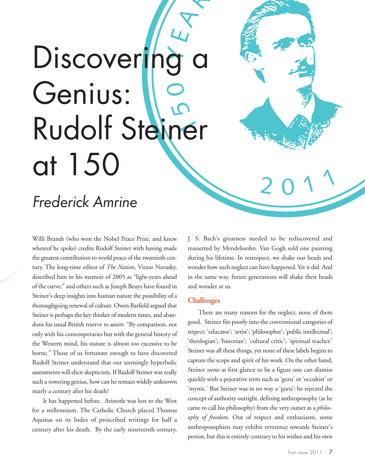# Discovering Genius: Rudolf Steiner at 150

# *Frederick Amrine*

Willi Brandt (who won the Nobel Peace Prize, and knew whereof he spoke) credits Rudolf Steiner with having made the greatest contribution to world peace of the twentieth century. The long-time editor of *The Nation*, Victor Navasky, described him in his memoir of 2005 as "light-years ahead of the curve," and others such as Joseph Beuys have found in Steiner's deep insights into human nature the possibility of a thoroughgoing renewal of culture. Owen Barfield argued that Steiner is perhaps the key thinker of modern times, and abandons his usual British reserve to assert: "By comparison, not only with his contemporaries but with the general history of the Western mind, his stature is almost too excessive to be borne." Those of us fortunate enough to have discovered Rudolf Steiner understand that our seemingly hyperbolic assessments will elicit skepticism. If Rudolf Steiner was really such a towering genius, how can he remain widely unknown nearly a century after his death?

It has happened before. Aristotle was lost to the West for a millennium. The Catholic Church placed Thomas Aquinas on its Index of proscribed writings for half a century after his death. By the early nineteenth century, J. S. Bach's greatness needed to be rediscovered and reasserted by Mendelssohn. Van Gogh sold one painting during his lifetime. In retrospect, we shake our heads and wonder how such neglect can have happened. Yet it did. And in the same way, future generations will shake their heads and wonder at us.

### **Challenges**

There are many reasons for the neglect, none of them good. Steiner fits poorly into the conventional categories of respect: 'educator'; 'artist'; 'philosopher'; 'public intellectual'; 'theologian'; 'historian'; 'cultural critic'; 'spiritual teacher.' Steiner was all these things, yet none of these labels begins to capture the scope and spirit of his work. On the other hand, Steiner *seems* at first glance to be a figure one can dismiss quickly with a pejorative term such as 'guru' or 'occultist' or 'mystic.' But Steiner was in no way a 'guru': he rejected the concept of authority outright, defining anthroposophy (as he came to call his philosophy) from the very outset as a *philosophy of freedom*. Out of respect and enthusiasm, some anthroposophists may exhibit reverence towards Steiner's person, but this is entirely contrary to his wishes and his own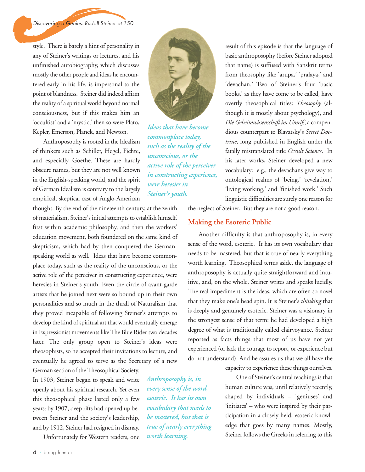style. There is barely a hint of personality in any of Steiner's writings or lectures, and his unfinished autobiography, which discusses mostly the other people and ideas he encountered early in his life, is impersonal to the point of blandness. Steiner did indeed affirm the reality of a spiritual world beyond normal consciousness, but if this makes him an 'occultist' and a 'mystic,' then so were Plato, Kepler, Emerson, Planck, and Newton.

Anthroposophy is rooted in the Idealism of thinkers such as Schiller, Hegel, Fichte, and especially Goethe. These are hardly obscure names, but they are not well known in the English-speaking world, and the spirit of German Idealism is contrary to the largely empirical, skeptical cast of Anglo-American

thought. By the end of the nineteenth century, at the zenith of materialism, Steiner's initial attempts to establish himself, first within academic philosophy, and then the workers' education movement, both foundered on the same kind of skepticism, which had by then conquered the Germanspeaking world as well. Ideas that have become commonplace today, such as the reality of the unconscious, or the active role of the perceiver in constructing experience, were heresies in Steiner's youth. Even the circle of avant-garde artists that he joined next were so bound up in their own personalities and so much in the thrall of Naturalism that they proved incapable of following Steiner's attempts to develop the kind of spiritual art that would eventually emerge in Expressionist movements like The Blue Rider two decades later. The only group open to Steiner's ideas were theosophists, so he accepted their invitations to lecture, and eventually he agreed to serve as the Secretary of a new

German section of the Theosophical Society. In 1903, Steiner began to speak and write openly about his spiritual research. Yet even this theosophical phase lasted only a few years: by 1907, deep rifts had opened up between Steiner and the society's leadership, and by 1912, Steiner had resigned in dismay.

Unfortunately for Western readers, one



*Ideas that have become commonplace today, such as the reality of the unconscious, or the active role of the perceiver in constructing experience, were heresies in Steiner's youth.* 

linguistic difficulties are surely one reason for the neglect of Steiner. But they are not a good reason.

result of this episode is that the language of basic anthroposophy (before Steiner adopted that name) is suffused with Sanskrit terms from theosophy like 'arupa,' 'pralaya,' and 'devachan.' Two of Steiner's four 'basic books,' as they have come to be called, have overtly theosophical titles: *Theosophy* (although it is mostly about psychology), and *Die Geheimwissenschaft im Umriß*, a compendious counterpart to Blavatsky's *Secret Doctrine*, long published in English under the fatally mistranslated title *Occult Science*. In his later works, Steiner developed a new vocabulary: e.g., the devachans give way to ontological realms of 'being,' 'revelation,' 'living working,' and 'finished work.' Such

## **Making the Esoteric Public**

Another difficulty is that anthroposophy is, in every sense of the word, esoteric. It has its own vocabulary that needs to be mastered, but that is true of nearly everything worth learning. Theosophical terms aside, the language of anthroposophy is actually quite straightforward and intuitive, and, on the whole, Steiner writes and speaks lucidly. The real impediment is the ideas, which are often so novel that they make one's head spin. It is Steiner's *thinking* that is deeply and genuinely esoteric. Steiner was a visionary in the strongest sense of that term: he had developed a high degree of what is traditionally called clairvoyance. Steiner reported as facts things that most of us have not yet experienced (or lack the courage to report, or experience but do not understand). And he assures us that we all have the

capacity to experience these things ourselves.

One of Steiner's central teachings is that human culture was, until relatively recently, shaped by individuals – 'geniuses' and 'initiates' – who were inspired by their participation in a closely-held, esoteric knowledge that goes by many names. Mostly, Steiner follows the Greeks in referring to this

*Anthroposophy is, in every sense of the word, esoteric. It has its own vocabulary that needs to be mastered, but that is true of nearly everything worth learning.*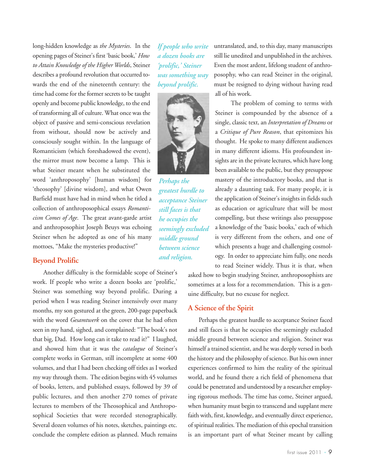long-hidden knowledge as *the Mysteries*. In the opening pages of Steiner's first 'basic book,' *How to Attain Knowledge of the Higher Worlds*, Steiner describes a profound revolution that occurred towards the end of the nineteenth century: the time had come for the former secrets to be taught openly and become public knowledge, to the end of transforming all of culture. What once was the object of passive and semi-conscious revelation from without, should now be actively and consciously sought within. In the language of Romanticism (which foreshadowed the event), the mirror must now become a lamp. This is what Steiner meant when he substituted the word 'anthroposophy' [human wisdom] for 'theosophy' [divine wisdom], and what Owen Barfield must have had in mind when he titled a collection of anthroposophical essays *Romanticism Comes of Age*. The great avant-garde artist and anthroposophist Joseph Beuys was echoing Steiner when he adopted as one of his many mottoes, "Make the mysteries productive!"

#### **Beyond Prolific**

Another difficulty is the formidable scope of Steiner's work. If people who write a dozen books are 'prolific,' Steiner was something way beyond prolific. During a period when I was reading Steiner intensively over many months, my son gestured at the green, 200-page paperback with the word *Gesamtwerk* on the cover that he had often seen in my hand, sighed, and complained: "The book's not that big, Dad. How long can it take to read it?" I laughed, and showed him that it was the *catalogue* of Steiner's complete works in German, still incomplete at some 400 volumes, and that I had been checking off titles as I worked my way through them. The edition begins with 45 volumes of books, letters, and published essays, followed by 39 of public lectures, and then another 270 tomes of private lectures to members of the Theosophical and Anthroposophical Societies that were recorded stenographically. Several dozen volumes of his notes, sketches, paintings etc. conclude the complete edition as planned. Much remains

*If people who write a dozen books are 'prolific,' Steiner was something way beyond prolific.* 



*Perhaps the greatest hurdle to acceptance Steiner still faces is that he occupies the seemingly excluded middle ground between science and religion.* 

untranslated, and, to this day, many manuscripts still lie unedited and unpublished in the archives. Even the most ardent, lifelong student of anthroposophy, who can read Steiner in the original, must be resigned to dying without having read all of his work.

The problem of coming to terms with Steiner is compounded by the absence of a single, classic text, an *Interpretation of Dreams* or a *Critique of Pure Reason*, that epitomizes his thought. He spoke to many different audiences in many different idioms. His profoundest insights are in the private lectures, which have long been available to the public, but they presuppose mastery of the introductory books, and that is already a daunting task. For many people, it is the application of Steiner's insights in fields such as education or agriculture that will be most compelling, but these writings also presuppose a knowledge of the 'basic books,' each of which is very different from the others, and one of which presents a huge and challenging cosmology. In order to appreciate him fully, one needs to read Steiner widely. Thus it is that, when

asked how to begin studying Steiner, anthroposophists are sometimes at a loss for a recommendation. This is a genuine difficulty, but no excuse for neglect.

### **A Science of the Spirit**

Perhaps the greatest hurdle to acceptance Steiner faced and still faces is that he occupies the seemingly excluded middle ground between science and religion. Steiner was himself a trained scientist, and he was deeply versed in both the history and the philosophy of science. But his own inner experiences confirmed to him the reality of the spiritual world, and he found there a rich field of phenomena that could be penetrated and understood by a researcher employing rigorous methods. The time has come, Steiner argued, when humanity must begin to transcend and supplant mere faith with, first, knowledge, and eventually direct experience, of spiritual realities. The mediation of this epochal transition is an important part of what Steiner meant by calling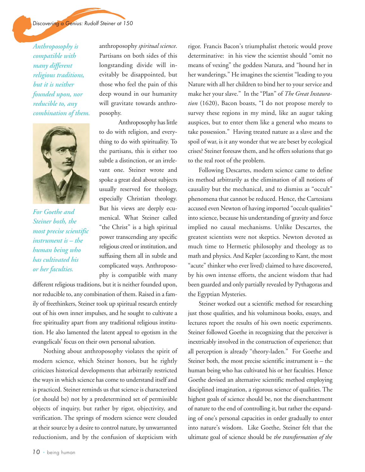*Anthroposophy is compatible with many different religious traditions, but it is neither founded upon, nor reducible to, any combination of them.* 



*For Goethe and Steiner both, the most precise scientific instrument is – the human being who has cultivated his or her faculties.*

anthroposophy *spiritual science*. Partisans on both sides of this longstanding divide will inevitably be disappointed, but those who feel the pain of this deep wound in our humanity will gravitate towards anthroposophy.

Anthroposophy has little to do with religion, and everything to do with spirituality. To the partisans, this is either too subtle a distinction, or an irrelevant one. Steiner wrote and spoke a great deal about subjects usually reserved for theology, especially Christian theology. But his views are deeply ecumenical. What Steiner called "the Christ" is a high spiritual power transcending any specific religious creed or institution, and suffusing them all in subtle and complicated ways. Anthroposophy is compatible with many

different religious traditions, but it is neither founded upon, nor reducible to, any combination of them. Raised in a family of freethinkers, Steiner took up spiritual research entirely out of his own inner impulses, and he sought to cultivate a free spirituality apart from any traditional religious institution. He also lamented the latent appeal to egotism in the evangelicals' focus on their own personal salvation.

Nothing about anthroposophy violates the spirit of modern science, which Steiner honors, but he rightly criticizes historical developments that arbitrarily restricted the ways in which science has come to understand itself and is practiced. Steiner reminds us that science is characterized (or should be) not by a predetermined set of permissible objects of inquiry, but rather by rigor, objectivity, and verification. The springs of modern science were clouded at their source by a desire to control nature, by unwarranted reductionism, and by the confusion of skepticism with

rigor. Francis Bacon's triumphalist rhetoric would prove determinative: in his view the scientist should "omit no means of vexing" the goddess Natura, and "hound her in her wanderings." He imagines the scientist "leading to you Nature with all her children to bind her to your service and make her your slave." In the "Plan" of *The Great Instauration* (1620), Bacon boasts, "I do not propose merely to survey these regions in my mind, like an augur taking auspices, but to enter them like a general who means to take possession." Having treated nature as a slave and the spoil of war, is it any wonder that we are beset by ecological crises? Steiner foresaw them, and he offers solutions that go to the real root of the problem.

Following Descartes, modern science came to define its method arbitrarily as the elimination of all notions of causality but the mechanical, and to dismiss as "occult" phenomena that cannot be reduced. Hence, the Cartesians accused even Newton of having imported "occult qualities" into science, because his understanding of gravity and force implied no causal mechanisms. Unlike Descartes, the greatest scientists were not skeptics. Newton devoted as much time to Hermetic philosophy and theology as to math and physics. And Kepler (according to Kant, the most "acute" thinker who ever lived) claimed to have discovered, by his own intense efforts, the ancient wisdom that had been guarded and only partially revealed by Pythagoras and the Egyptian Mysteries.

Steiner worked out a scientific method for researching just those qualities, and his voluminous books, essays, and lectures report the results of his own noetic experiments. Steiner followed Goethe in recognizing that the perceiver is inextricably involved in the construction of experience; that all perception is already "theory-laden." For Goethe and Steiner both, the most precise scientific instrument is – the human being who has cultivated his or her faculties. Hence Goethe devised an alternative scientific method employing disciplined imagination, a rigorous science of qualities. The highest goals of science should be, not the disenchantment of nature to the end of controlling it, but rather the expanding of one's personal capacities in order gradually to enter into nature's wisdom. Like Goethe, Steiner felt that the ultimate goal of science should be *the transformation of the*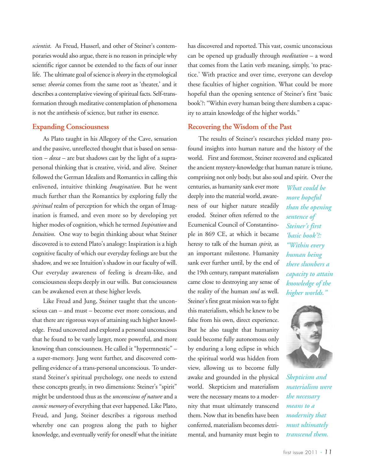*scientist*. As Freud, Husserl, and other of Steiner's contemporaries would also argue, there is no reason in principle why scientific rigor cannot be extended to the facts of our inner life. The ultimate goal of science is *theory*in the etymological sense: *theoria* comes from the same root as 'theater,' and it describes a contemplative viewing of spiritual facts. Self-transformation through meditative contemplation of phenomena is not the antithesis of science, but rather its essence.

#### **Expanding Consciousness**

As Plato taught in his Allegory of the Cave, sensation and the passive, unreflected thought that is based on sensation – *doxa* – are but shadows cast by the light of a suprapersonal thinking that is creative, vivid, and alive. Steiner followed the German Idealists and Romantics in calling this enlivened, intuitive thinking *Imagination*. But he went much further than the Romantics by exploring fully the *spiritual* realm of perception for which the organ of Imagination is framed, and even more so by developing yet higher modes of cognition, which he termed *Inspiration* and *Intuition*. One way to begin thinking about what Steiner discovered is to extend Plato's analogy: Inspiration is a high cognitive faculty of which our everyday feelings are but the shadow, and we see Intuition's shadow in our faculty of will. Our everyday awareness of feeling is dream-like, and consciousness sleeps deeply in our wills. But consciousness can be awakened even at these higher levels.

Like Freud and Jung, Steiner taught that the unconscious can – and must – become ever more conscious, and that there are rigorous ways of attaining such higher knowledge. Freud uncovered and explored a personal unconscious that he found to be vastly larger, more powerful, and more knowing than consciousness. He called it "hypermnestic" – a super-memory. Jung went further, and discovered compelling evidence of a trans-personal unconscious. To understand Steiner's spiritual psychology, one needs to extend these concepts greatly, in two dimensions: Steiner's "spirit" might be understood thus as the *unconscious of nature* and a *cosmic memory* of everything that ever happened. Like Plato, Freud, and Jung, Steiner describes a rigorous method whereby one can progress along the path to higher knowledge, and eventually verify for oneself what the initiate

has discovered and reported. This vast, cosmic unconscious can be opened up gradually through *meditation* – a word that comes from the Latin verb meaning, simply, 'to practice.' With practice and over time, everyone can develop these faculties of higher cognition. What could be more hopeful than the opening sentence of Steiner's first 'basic book'?: "Within every human being there slumbers a capacity to attain knowledge of the higher worlds."

#### **Recovering the Wisdom of the Past**

The results of Steiner's researches yielded many profound insights into human nature and the history of the world. First and foremost, Steiner recovered and explicated the ancient mystery-knowledge that human nature is triune, comprising not only body, but also soul and spirit. Over the

centuries, as humanity sank ever more deeply into the material world, awareness of our higher nature steadily eroded. Steiner often referred to the Ecumenical Council of Constantinople in 869 CE, at which it became heresy to talk of the human *spirit*, as an important milestone. Humanity sank ever further until, by the end of the 19th century, rampant materialism came close to destroying any sense of the reality of the human *soul* as well. Steiner's first great mission was to fight this materialism, which he knew to be false from his own, direct experience. But he also taught that humanity could become fully autonomous only by enduring a long eclipse in which the spiritual world was hidden from view, allowing us to become fully awake and grounded in the physical world. Skepticism and materialism were the necessary means to a modernity that must ultimately transcend them. Now that its benefits have been conferred, materialism becomes detrimental, and humanity must begin to

*What could be more hopeful than the opening sentence of Steiner's first 'basic book'?: "Within every human being there slumbers a capacity to attain knowledge of the higher worlds."*



*Skepticism and materialism were the necessary means to a modernity that must ultimately transcend them.*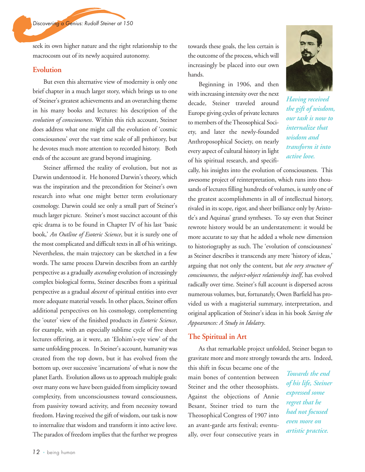seek its own higher nature and the right relationship to the macrocosm out of its newly acquired autonomy.

#### **Evolution**

But even this alternative view of modernity is only one brief chapter in a much larger story, which brings us to one of Steiner's greatest achievements and an overarching theme in his many books and lectures: his description of the *evolution of consciousness*. Within this rich account, Steiner does address what one might call the evolution of 'cosmic consciousness' over the vast time scale of all prehistory, but he devotes much more attention to recorded history. Both ends of the account are grand beyond imagining.

Steiner affirmed the reality of evolution, but not as Darwin understood it. He honored Darwin's theory, which was the inspiration and the precondition for Steiner's own research into what one might better term evolutionary cosmology. Darwin could see only a small part of Steiner's much larger picture. Steiner's most succinct account of this epic drama is to be found in Chapter IV of his last 'basic book,' *An Outline of Esoteric Science*, but it is surely one of the most complicated and difficult texts in all of his writings. Nevertheless, the main trajectory can be sketched in a few words. The same process Darwin describes from an earthly perspective as a gradually *ascending* evolution of increasingly complex biological forms, Steiner describes from a spiritual perspective as a gradual *descent* of spiritual entities into ever more adequate material vessels. In other places, Steiner offers additional perspectives on his cosmology, complementing the 'outer' view of the finished products in *Esoteric Science*, for example, with an especially sublime cycle of five short lectures offering, as it were, an 'Elohim's-eye view' of the same unfolding process. In Steiner's account, humanity was created from the top down, but it has evolved from the bottom up, over successive 'incarnations' of what is now the planet Earth. Evolution allows us to approach multiple goals: over many eons we have been guided from simplicity toward complexity, from unconsciousness toward consciousness, from passivity toward activity, and from necessity toward freedom. Having received the gift of wisdom, our task is now to internalize that wisdom and transform it into active love. The paradox of freedom implies that the further we progress

towards these goals, the less certain is the outcome of the process, which will increasingly be placed into our own hands.

Beginning in 1906, and then with increasing intensity over the next decade, Steiner traveled around Europe giving cycles of private lectures to members of the Theosophical Society, and later the newly-founded Anthroposophical Society, on nearly every aspect of cultural history in light of his spiritual research, and specifi-



*Having received the gift of wisdom, our task is now to internalize that wisdom and transform it into active love.* 

cally, his insights into the evolution of consciousness. This awesome project of reinterpretation, which runs into thousands of lectures filling hundreds of volumes, is surely one of the greatest accomplishments in all of intellectual history, rivaled in its scope, rigor, and sheer brilliance only by Aristotle's and Aquinas' grand syntheses. To say even that Steiner rewrote history would be an understatement: it would be more accurate to say that he added a whole new dimension to historiography as such. The 'evolution of consciousness' as Steiner describes it transcends any mere 'history of ideas,' arguing that not only the content, but *the very structure of consciousness*, the *subject-object relationship itself*, has evolved radically over time. Steiner's full account is dispersed across numerous volumes, but, fortunately, Owen Barfield has provided us with a magisterial summary, interpretation, and original application of Steiner's ideas in his book *Saving the Appearances: A Study in Idolatry*.

#### **The Spiritual in Art**

As that remarkable project unfolded, Steiner began to gravitate more and more strongly towards the arts. Indeed,

this shift in focus became one of the main bones of contention between Steiner and the other theosophists. Against the objections of Annie Besant, Steiner tried to turn the Theosophical Congress of 1907 into an avant-garde arts festival; eventually, over four consecutive years in

*Towards the end of his life, Steiner expressed some regret that he had not focused even more on artistic practice.*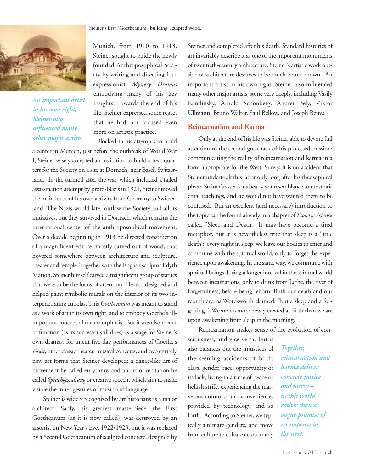

*An important artist in his own right, Steiner also influenced many other major artists.*

Munich, from 1910 to 1913, Steiner sought to guide the newly founded Anthroposophical Society by writing and directing four expressionist *Mystery Dramas* embodying many of his key insights. Towards the end of his life, Steiner expressed some regret that he had not focused even more on artistic practice.

Blocked in his attempts to build

a center in Munich, just before the outbreak of World War I, Steiner wisely accepted an invitation to build a headquarters for the Society on a site at Dornach, near Basel, Switzerland. In the turmoil after the war, which included a failed assassination attempt by proto-Nazis in 1921, Steiner moved the main locus of his own activity from Germany to Switzerland. The Nazis would later outlaw the Society and all its initiatives, but they survived in Dornach, which remains the international center of the anthroposophical movement. Over a decade beginning in 1913 he directed construction of a magnificent edifice, mostly carved out of wood, that hovered somewhere between architecture and sculpture, theater and temple. Together with the English sculptor Edyth Marion, Steiner himself carved a magnificent group of statues that were to be the focus of attention. He also designed and helped paint symbolic murals on the interior of its two interpenetrating cupolas. This *Goetheanum* was meant to stand as a work of art in its own right, and to embody Goethe's allimportant concept of metamorphosis. But it was also meant to function (as its successor still does) as a stage for Steiner's own dramas, for uncut five-day performances of Goethe's *Faust*, other classic theater, musical concerts, and two entirely new art forms that Steiner developed: a dance-like art of movement he called eurythmy, and an art of recitation he called *Sprachgestaltung* or creative speech, which aim to make visible the inner gestures of music and language.

Steiner is widely recognized by art historians as a major architect. Sadly, his greatest masterpiece, the First Goetheanum (as it is now called), was destroyed by an arsonist on New Year's Eve, 1922/1923, but it was replaced by a Second Goetheanum of sculpted concrete, designed by Steiner and completed after his death. Standard histories of art invariably describe it as one of the important monuments of twentieth-century architecture. Steiner's artistic work outside of architecture deserves to be much better known. An important artist in his own right, Steiner also influenced many other major artists, some very deeply, including Vasily Kandinsky, Arnold Schönberg, Andrei Bely, Viktor Ullmann, Bruno Walter, Saul Bellow, and Joseph Beuys.

#### **Reincarnation and Karma**

Only at the end of his life was Steiner able to devote full attention to the second great task of his professed mission: communicating the reality of reincarnation and karma in a form appropriate for the West. Surely, it is no accident that Steiner undertook this labor only long after his theosophical phase: Steiner's assertions bear scant resemblance to most oriental teachings, and he would not have wanted them to be confused. But an excellent (and necessary) introduction to the topic can be found already in a chapter of *Esoteric Science* called "Sleep and Death." It may have become a tired metaphor, but it is nevertheless true that sleep is a 'little death': every night in sleep, we leave our bodies to enter and commune with the spiritual world, only to forget the experience upon awakening. In the same way, we commune with spiritual beings during a longer interval in the spiritual world between incarnations, only to drink from Lethe, the river of forgetfulness, before being reborn. Both our death and our rebirth are, as Wordsworth claimed, "but a sleep and a forgetting." We are no more newly created at birth than we are upon awakening from sleep in the morning.

Reincarnation makes sense of the evolution of con-

sciousness, and vice versa. But it also balances out the injustices of the seeming accidents of birth: class, gender, race, opportunity or its lack, living in a time of peace or hellish strife, experiencing the marvelous comforts and conveniences provided by technology, and so forth. According to Steiner, we typically alternate genders, and move from culture to culture across many

*Together, reincarnation and karma deliver concrete justice – and mercy – in this world, rather than a vague promise of recompense in the next.*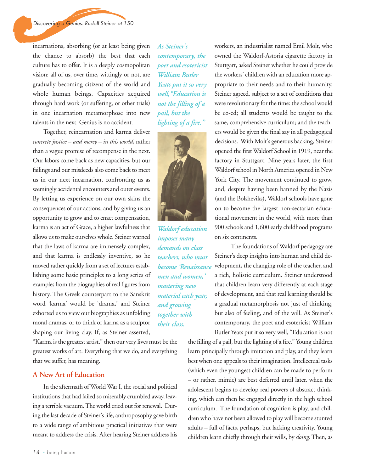incarnations, absorbing (or at least being given the chance to absorb) the best that each culture has to offer. It is a deeply cosmopolitan vision: all of us, over time, wittingly or not, are gradually becoming citizens of the world and whole human beings. Capacities acquired through hard work (or suffering, or other trials) in one incarnation metamorphose into new talents in the next. Genius is no accident.

Together, reincarnation and karma deliver *concrete justice – and mercy – in this world*, rather than a vague promise of recompense in the next. Our labors come back as new capacities, but our failings and our misdeeds also come back to meet us in our next incarnation, confronting us as seemingly accidental encounters and outer events. By letting us experience on our own skins the consequences of our actions, and by giving us an opportunity to grow and to enact compensation, karma is an act of Grace, a higher lawfulness that allows us to make ourselves whole. Steiner warned that the laws of karma are immensely complex, and that karma is endlessly inventive, so he moved rather quickly from a set of lectures establishing some basic principles to a long series of examples from the biographies of real figures from history. The Greek counterpart to the Sanskrit word 'karma' would be 'drama,' and Steiner exhorted us to view our biographies as unfolding moral dramas, or to think of karma as a sculptor shaping our living clay. If, as Steiner asserted,

"Karma is the greatest artist," then our very lives must be the greatest works of art. Everything that we do, and everything that we suffer, has meaning.

#### **A New Art of Education**

In the aftermath of World War I, the social and political institutions that had failed so miserably crumbled away, leaving a terrible vacuum. The world cried out for renewal. During the last decade of Steiner's life, anthroposophy gave birth to a wide range of ambitious practical initiatives that were meant to address the crisis. After hearing Steiner address his

*As Steiner's contemporary, the poet and esotericist William Butler Yeats put it so very well,"Education is not the filling of a pail, but the lighting of a fire."* 



*Waldorf education imposes many demands on class teachers, who must become 'Renaissance men and women,' mastering new material each year, and growing together with their class.* 

workers, an industrialist named Emil Molt, who owned the Waldorf-Astoria cigarette factory in Stuttgart, asked Steiner whether he could provide the workers' children with an education more appropriate to their needs and to their humanity. Steiner agreed, subject to a set of conditions that were revolutionary for the time: the school would be co-ed; all students would be taught to the same, comprehensive curriculum; and the teachers would be given the final say in all pedagogical decisions. With Molt's generous backing, Steiner opened the first Waldorf School in 1919, near the factory in Stuttgart. Nine years later, the first Waldorf school in North America opened in New York City. The movement continued to grow, and, despite having been banned by the Nazis (and the Bolsheviks), Waldorf schools have gone on to become the largest non-sectarian educational movement in the world, with more than 900 schools and 1,600 early childhood programs on six continents.

The foundations of Waldorf pedagogy are Steiner's deep insights into human and child development, the changing role of the teacher, and a rich, holistic curriculum. Steiner understood that children learn very differently at each stage of development, and that real learning should be a gradual metamorphosis not just of thinking, but also of feeling, and of the will. As Steiner's contemporary, the poet and esotericist William Butler Yeats put it so very well, "Education is not

the filling of a pail, but the lighting of a fire." Young children learn principally through imitation and play, and they learn best when one appeals to their imagination. Intellectual tasks (which even the youngest children can be made to perform – or rather, mimic) are best deferred until later, when the adolescent begins to develop real powers of abstract thinking, which can then be engaged directly in the high school curriculum. The foundation of cognition is play, and children who have not been allowed to play will become stunted adults – full of facts, perhaps, but lacking creativity. Young children learn chiefly through their wills, by *doing*. Then, as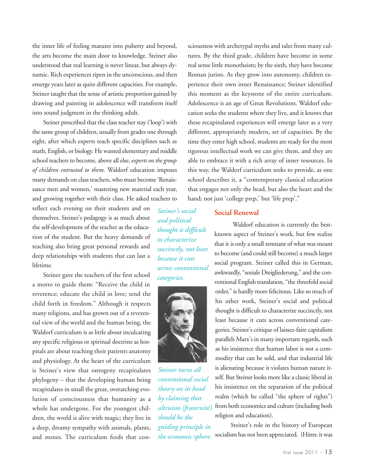the inner life of feeling matures into puberty and beyond, the arts become the main door to knowledge. Steiner also understood that real learning is never linear, but always dynamic. Rich experiences ripen in the unconscious, and then emerge years later as quite different capacities. For example, Steiner taught that the sense of artistic proportion gained by drawing and painting in adolescence will transform itself into sound judgment in the thinking adult.

Steiner prescribed that the class teacher stay ('loop') with the same group of children, usually from grades one through eight, after which experts teach specific disciplines such as math, English, or biology. He wanted elementary and middle school teachers to become, above all else, *experts on the group of children entrusted to them*. Waldorf education imposes many demands on class teachers, who must become 'Renaissance men and women,' mastering new material each year, and growing together with their class. He asked teachers to

reflect each evening on their students and on themselves. Steiner's pedagogy is as much about the self-development of the teacher as the education of the student. But the heavy demands of teaching also bring great personal rewards and deep relationships with students that can last a lifetime.

Steiner gave the teachers of the first school a motto to guide them: "Receive the child in reverence; educate the child in love; send the child forth in freedom." Although it respects many religions, and has grown out of a reverential view of the world and the human being, the Waldorf curriculum is as little about inculcating any specific religious or spiritual doctrine as hospitals are about teaching their patients anatomy and physiology. At the heart of the curriculum is Steiner's view that ontogeny recapitulates phylogeny – that the developing human being recapitulates in small the great, overarching evolution of consciousness that humanity as a whole has undergone. For the youngest children, the world is alive with magic; they live in a deep, dreamy sympathy with animals, plants, and stones. The curriculum feeds that consciousness with archetypal myths and tales from many cultures. By the third grade, children have become in some real sense little monotheists; by the sixth, they have become Roman jurists. As they grow into autonomy, children experience their own inner Renaissance; Steiner identified this moment as the keystone of the entire curriculum. Adolescence is an age of Great Revolutions. Waldorf education seeks the students where they live, and it knows that these recapitulated experiences will emerge later as a very different, appropriately modern, set of capacities. By the time they enter high school, students are ready for the most rigorous intellectual work we can give them, and they are able to embrace it with a rich array of inner resources. In this way, the Waldorf curriculum seeks to provide, as one school describes it, a "contemporary classical education that engages not only the head, but also the heart and the hand; not just 'college prep,' but 'life prep'."

*Steiner's social and political thought is difficult to characterize succinctly, not least because it cuts across conventional categories.* 



*Steiner turns all conventional social theory on its head by claiming that altruism (fraternité) should be the guiding principle in the economic sphere.* 

#### **Social Renewal**

Waldorf education is currently the bestknown aspect of Steiner's work, but few realize that it is only a small remnant of what was meant to become (and could still become) a much larger social program. Steiner called this in German, awkwardly, "soziale Dreigliederung," and the conventional English translation, "the threefold social order," is hardly more felicitous. Like so much of his other work, Steiner's social and political thought is difficult to characterize succinctly, not least because it cuts across conventional categories. Steiner's critique of laissez-faire capitalism parallels Marx's in many important regards, such as his insistence that human labor is not a commodity that can be sold, and that industrial life is alienating because it violates human nature itself. But Steiner looks more like a classic liberal in his insistence on the separation of the political realm (which he called "the sphere of rights") from both economics and culture (including both religion and education).

Steiner's role in the history of European socialism has not been appreciated. (Hints: it was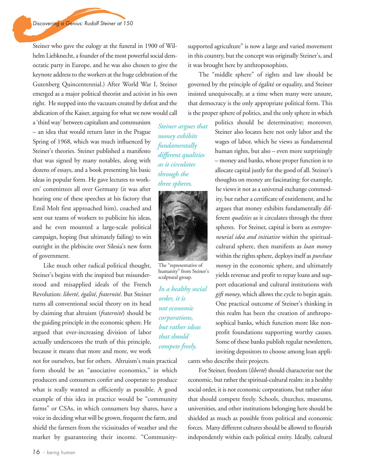Steiner who gave the eulogy at the funeral in 1900 of Wilhelm Liebknecht, a founder of the most powerful social democratic party in Europe, and he was also chosen to give the keynote address to the workers at the huge celebration of the Gutenberg Quincentennial.) After World War I, Steiner emerged as a major political theorist and activist in his own right. He stepped into the vacuum created by defeat and the abdication of the Kaiser, arguing for what we now would call

a 'third way' between capitalism and communism – an idea that would return later in the Prague Spring of 1968, which was much influenced by Steiner's theories. Steiner published a manifesto that was signed by many notables, along with dozens of essays, and a book presenting his basic ideas in popular form. He gave lectures to workers' committees all over Germany (it was after hearing one of these speeches at his factory that Emil Molt first approached him), coached and sent out teams of workers to publicize his ideas, and he even mounted a large-scale political campaign, hoping (but ultimately failing) to win outright in the plebiscite over Silesia's new form of government.

Like much other radical political thought, Steiner's begins with the inspired but misunderstood and misapplied ideals of the French Revolution: *liberté, égalité, fraternité*. But Steiner turns all conventional social theory on its head by claiming that altruism (*fraternité*) should be the guiding principle in the economic sphere. He argued that ever-increasing division of labor actually underscores the truth of this principle, because it means that more and more, we work

not for ourselves, but for others. Altruism's main practical form should be an "associative economics," in which producers and consumers confer and cooperate to produce what is really wanted as efficiently as possible. A good example of this idea in practice would be "community farms" or CSAs, in which consumers buy shares, have a voice in deciding what will be grown, frequent the farm, and shield the farmers from the vicissitudes of weather and the market by guaranteeing their income. "Community-

*Steiner argues that money exhibits fundamentally different qualities as it circulates through the three spheres.* 



The "representative of humanity" from Steiner's sculptural group.

*In a healthy social order, it is not economic corporations, but rather ideas that should compete freely.* 

supported agriculture" is now a large and varied movement in this country, but the concept was originally Steiner's, and it was brought here by anthroposophists.

The "middle sphere" of rights and law should be governed by the principle of égalité or equality, and Steiner insisted unequivocally, at a time when many were unsure, that democracy is the only appropriate political form. This is the proper sphere of politics, and the only sphere in which

> politics should be determinative; moreover, Steiner also locates here not only labor and the wages of labor, which he views as fundamental human rights, but also – even more surprisingly – money and banks, whose proper function is to allocate capital justly for the good of all. Steiner's thoughts on money are fascinating: for example, he views it not as a universal exchange commodity, but rather a certificate of entitlement, and he argues that money exhibits fundamentally different *qualities* as it circulates through the three spheres. For Steiner, capital is born as *entrepreneurial idea and initiative* within the spiritualcultural sphere, then manifests as *loan money* within the rights sphere, deploys itself as *purchase money* in the economic sphere, and ultimately yields revenue and profit to repay loans and support educational and cultural institutions with *gift money*, which allows the cycle to begin again. One practical outcome of Steiner's thinking in this realm has been the creation of anthroposophical banks, which function more like nonprofit foundations supporting worthy causes. Some of these banks publish regular newsletters, inviting depositors to choose among loan appli-

cants who describe their projects.

For Steiner, freedom (*liberté*) should characterize not the economic, but rather the spiritual-cultural realm: in a healthy social order, it is not economic corporations, but rather *ideas* that should compete freely. Schools, churches, museums, universities, and other institutions belonging here should be shielded as much as possible from political and economic forces. Many different cultures should be allowed to flourish independently within each political entity. Ideally, cultural